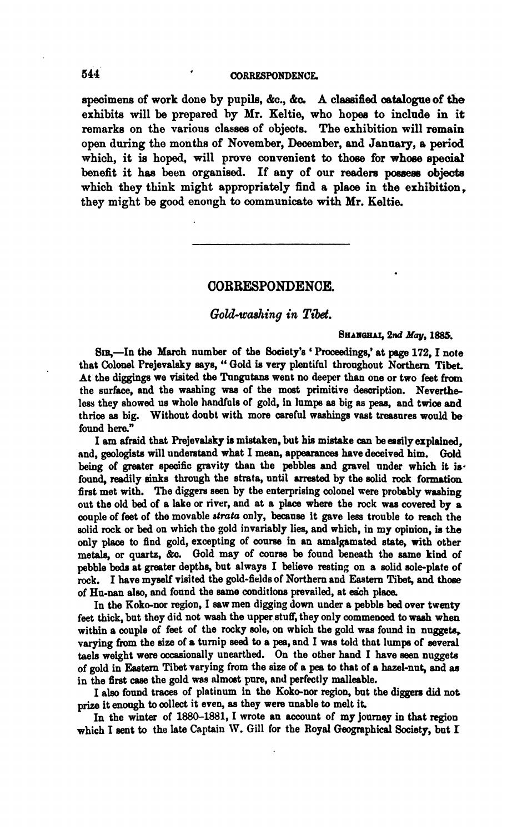## **544 CORRESPONDENCE.**

specimens of work done by pupils, &c., &c. A classified catalogue of the exhibits will be prepared by Mr. Keltie, who hopes to include in it remarks on the various classes of objects. The exhibition will remain open during the months of November, December, and January, a period which, it is hoped, will prove convenient to those for whose special benefit it has been organised. If any of our readers possess objects which they think might appropriately find a place in the exhibition. they might be good enough to communicate with Mr. Keltie.

# **COBBESPONDENCE.**

### Gold-washing in Tibet.

SHANGHAI, 2nd May, 1885.<br>SIR,-In the March number of the Society's ' Proceedings,' at page 172, I note that Colonel Prejevalsky says, " Gold is very plentiful throughout Northern Tibet At the diggings we visited the Tungutans went no deeper than one or two feet from the surface, and the washing **wag** of the most primitive description. Nevertheless they showed us whole handfuls of gold, in lumps as big as peas, and twice and thrice as big. Without doubt with more careful washings vast treasures would be found here."

I am afraid that Prejevalsky **is** mistaken, but his mistake **can** beesaily explained, ad, geologists will underetand what I mean, appearances have deceived him. Gold being of greater specific gravity than the pebbles and gravel under which it isfound, readily sinks through the strata, until arrested by the solid rock formation first met with. The diggers seen by the enterprising colonel were probably washing out the old bed of a lake or river, and at a place where the rock was covered by a couple of feet of the movable *strata* only, because it gave less trouble to reach the solid rock or bed on which the gold invariably lies, and which, in my opinion, is the only **place** to find gold, excepting of course in an amalgamated state, with other metals, or quartz, &c. Gold may of course be found beneath the same kind of pebble beds at greater depths, but always I believe resting on a solid sole-plate of **rock.** I have myself visited the gold-fields of Northern and **Eastern** Tibet, and those of Hu-nan also, and found the same conditions prevailed, at each place.

In the Koko-nor region, I eaw men digging down under a pebble bed over twenty feet thick, but they did not wash the upper stuff, they only commenced to **wash** when within a couple of feet of the rocky sole, on which the gold was found in nuggets, varying from the size of a turnip **seed** to a **pea,** and I wae told that lump of several taels weight were occasionally unearthed. On the other hand I have seen nuggets of gold in **Emtern** Tibet varying from the size of a pea to that of a hazel-nut, and **aa**  in the first **case** the gold **waa** nlmoet pure, nnd perfectly malleable.

I also found traces of platinum in the Koko-nor region, but the diggers did not prize it enough to collect it even, as they were unable to melt it.

In the winter of 1880-1881, I wrote an account of my journey in that region which I sent to the late Captain W. Gill for the Royal Geographical Society, but I